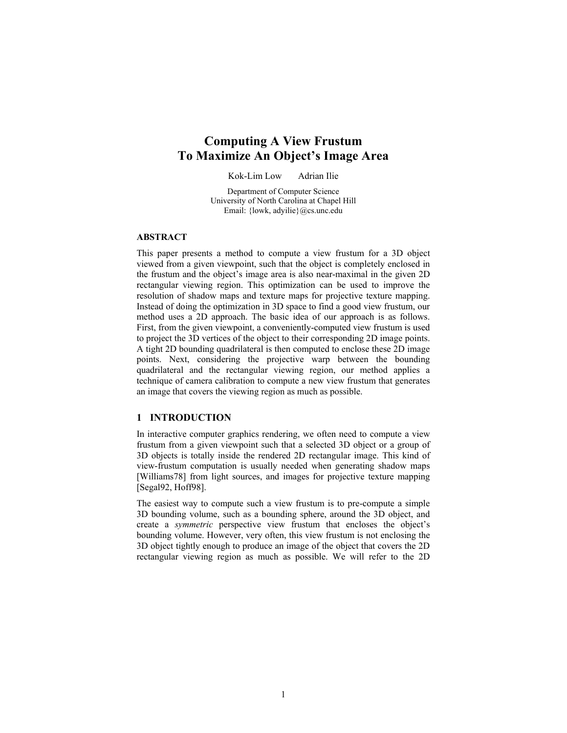# **Computing A View Frustum To Maximize An Object's Image Area**

Kok-Lim Low Adrian Ilie

Department of Computer Science University of North Carolina at Chapel Hill Email: {lowk, adyilie}@cs.unc.edu

#### **ABSTRACT**

This paper presents a method to compute a view frustum for a 3D object viewed from a given viewpoint, such that the object is completely enclosed in the frustum and the object's image area is also near-maximal in the given 2D rectangular viewing region. This optimization can be used to improve the resolution of shadow maps and texture maps for projective texture mapping. Instead of doing the optimization in 3D space to find a good view frustum, our method uses a 2D approach. The basic idea of our approach is as follows. First, from the given viewpoint, a conveniently-computed view frustum is used to project the 3D vertices of the object to their corresponding 2D image points. A tight 2D bounding quadrilateral is then computed to enclose these 2D image points. Next, considering the projective warp between the bounding quadrilateral and the rectangular viewing region, our method applies a technique of camera calibration to compute a new view frustum that generates an image that covers the viewing region as much as possible.

## **1 INTRODUCTION**

In interactive computer graphics rendering, we often need to compute a view frustum from a given viewpoint such that a selected 3D object or a group of 3D objects is totally inside the rendered 2D rectangular image. This kind of view-frustum computation is usually needed when generating shadow maps [Williams78] from light sources, and images for projective texture mapping [Segal92, Hoff98].

The easiest way to compute such a view frustum is to pre-compute a simple 3D bounding volume, such as a bounding sphere, around the 3D object, and create a *symmetric* perspective view frustum that encloses the object's bounding volume. However, very often, this view frustum is not enclosing the 3D object tightly enough to produce an image of the object that covers the 2D rectangular viewing region as much as possible. We will refer to the 2D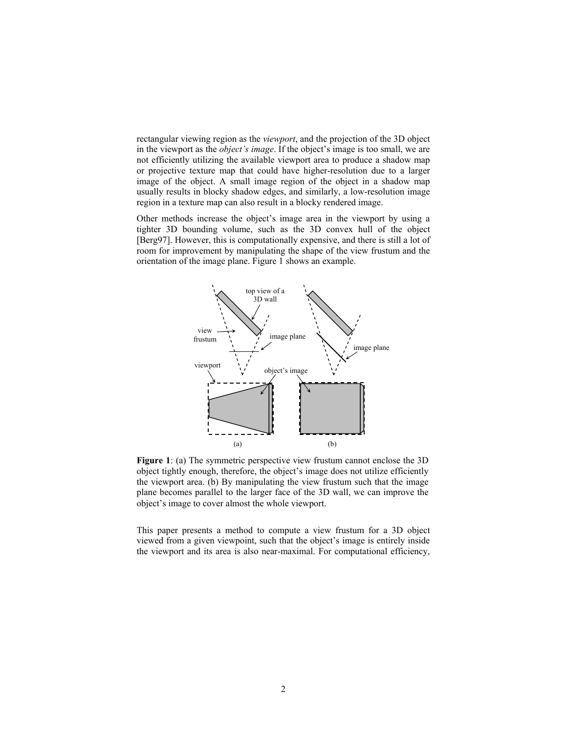rectangular viewing region as the *viewport*, and the projection of the 3D object in the viewport as the *object's image*. If the object's image is too small, we are not efficiently utilizing the available viewport area to produce a shadow map or projective texture map that could have higher-resolution due to a larger image of the object. A small image region of the object in a shadow map usually results in blocky shadow edges, and similarly, a low-resolution image region in a texture map can also result in a blocky rendered image.

Other methods increase the object's image area in the viewport by using a tighter 3D bounding volume, such as the 3D convex hull of the object [Berg97]. However, this is computationally expensive, and there is still a lot of room for improvement by manipulating the shape of the view frustum and the orientation of the image plane. Figure 1 shows an example.



**Figure 1**: (a) The symmetric perspective view frustum cannot enclose the 3D object tightly enough, therefore, the object's image does not utilize efficiently the viewport area. (b) By manipulating the view frustum such that the image plane becomes parallel to the larger face of the 3D wall, we can improve the object's image to cover almost the whole viewport.

This paper presents a method to compute a view frustum for a 3D object viewed from a given viewpoint, such that the object's image is entirely inside the viewport and its area is also near-maximal. For computational efficiency,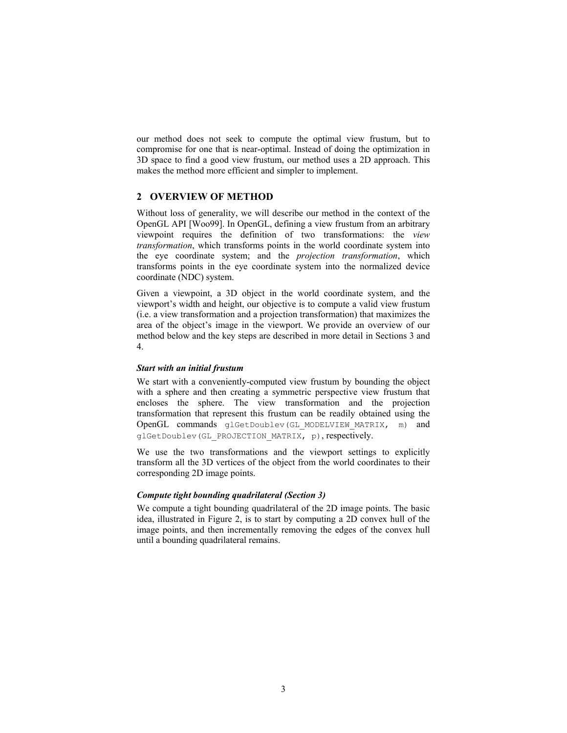our method does not seek to compute the optimal view frustum, but to compromise for one that is near-optimal. Instead of doing the optimization in 3D space to find a good view frustum, our method uses a 2D approach. This makes the method more efficient and simpler to implement.

# **2 OVERVIEW OF METHOD**

Without loss of generality, we will describe our method in the context of the OpenGL API [Woo99]. In OpenGL, defining a view frustum from an arbitrary viewpoint requires the definition of two transformations: the *view transformation*, which transforms points in the world coordinate system into the eye coordinate system; and the *projection transformation*, which transforms points in the eye coordinate system into the normalized device coordinate (NDC) system.

Given a viewpoint, a 3D object in the world coordinate system, and the viewport's width and height, our objective is to compute a valid view frustum (i.e. a view transformation and a projection transformation) that maximizes the area of the object's image in the viewport. We provide an overview of our method below and the key steps are described in more detail in Sections 3 and 4.

#### *Start with an initial frustum*

We start with a conveniently-computed view frustum by bounding the object with a sphere and then creating a symmetric perspective view frustum that encloses the sphere. The view transformation and the projection transformation that represent this frustum can be readily obtained using the OpenGL commands glGetDoublev(GL\_MODELVIEW\_MATRIX, m) and glGetDoublev(GL\_PROJECTION\_MATRIX, p), respectively.

We use the two transformations and the viewport settings to explicitly transform all the 3D vertices of the object from the world coordinates to their corresponding 2D image points.

#### *Compute tight bounding quadrilateral (Section 3)*

We compute a tight bounding quadrilateral of the 2D image points. The basic idea, illustrated in Figure 2, is to start by computing a 2D convex hull of the image points, and then incrementally removing the edges of the convex hull until a bounding quadrilateral remains.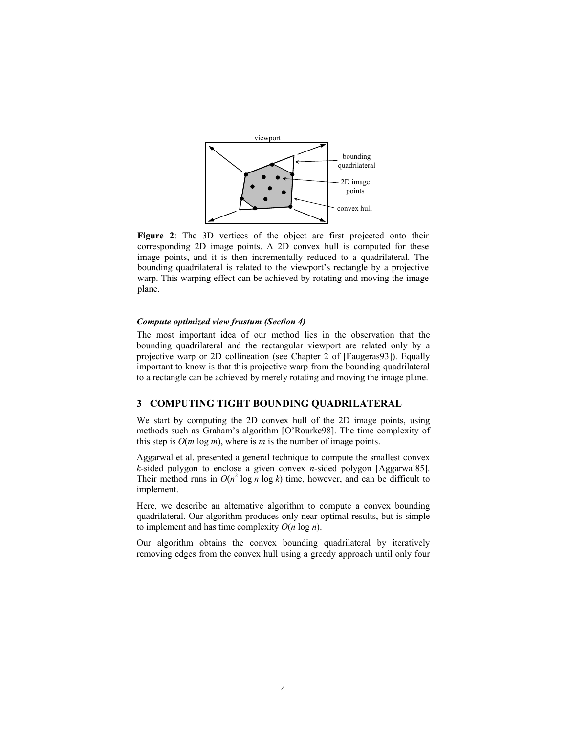

**Figure 2**: The 3D vertices of the object are first projected onto their corresponding 2D image points. A 2D convex hull is computed for these image points, and it is then incrementally reduced to a quadrilateral. The bounding quadrilateral is related to the viewport's rectangle by a projective warp. This warping effect can be achieved by rotating and moving the image plane.

#### *Compute optimized view frustum (Section 4)*

The most important idea of our method lies in the observation that the bounding quadrilateral and the rectangular viewport are related only by a projective warp or 2D collineation (see Chapter 2 of [Faugeras93]). Equally important to know is that this projective warp from the bounding quadrilateral to a rectangle can be achieved by merely rotating and moving the image plane.

# **3 COMPUTING TIGHT BOUNDING QUADRILATERAL**

We start by computing the 2D convex hull of the 2D image points, using methods such as Graham's algorithm [O'Rourke98]. The time complexity of this step is  $O(m \log m)$ , where is *m* is the number of image points.

Aggarwal et al. presented a general technique to compute the smallest convex *k*-sided polygon to enclose a given convex *n*-sided polygon [Aggarwal85]. Their method runs in  $O(n^2 \log n \log k)$  time, however, and can be difficult to implement.

Here, we describe an alternative algorithm to compute a convex bounding quadrilateral. Our algorithm produces only near-optimal results, but is simple to implement and has time complexity *O*(*n* log *n*).

Our algorithm obtains the convex bounding quadrilateral by iteratively removing edges from the convex hull using a greedy approach until only four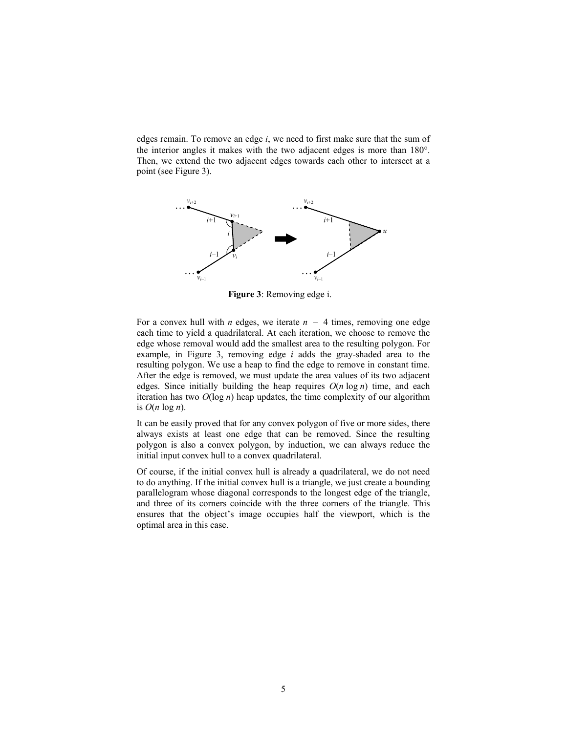edges remain. To remove an edge *i*, we need to first make sure that the sum of the interior angles it makes with the two adjacent edges is more than 180°. Then, we extend the two adjacent edges towards each other to intersect at a point (see Figure 3).



**Figure 3**: Removing edge i.

For a convex hull with *n* edges, we iterate  $n - 4$  times, removing one edge each time to yield a quadrilateral. At each iteration, we choose to remove the edge whose removal would add the smallest area to the resulting polygon. For example, in Figure 3, removing edge *i* adds the gray-shaded area to the resulting polygon. We use a heap to find the edge to remove in constant time. After the edge is removed, we must update the area values of its two adjacent edges. Since initially building the heap requires  $O(n \log n)$  time, and each iteration has two *O*(log *n*) heap updates, the time complexity of our algorithm is  $O(n \log n)$ .

It can be easily proved that for any convex polygon of five or more sides, there always exists at least one edge that can be removed. Since the resulting polygon is also a convex polygon, by induction, we can always reduce the initial input convex hull to a convex quadrilateral.

Of course, if the initial convex hull is already a quadrilateral, we do not need to do anything. If the initial convex hull is a triangle, we just create a bounding parallelogram whose diagonal corresponds to the longest edge of the triangle, and three of its corners coincide with the three corners of the triangle. This ensures that the object's image occupies half the viewport, which is the optimal area in this case.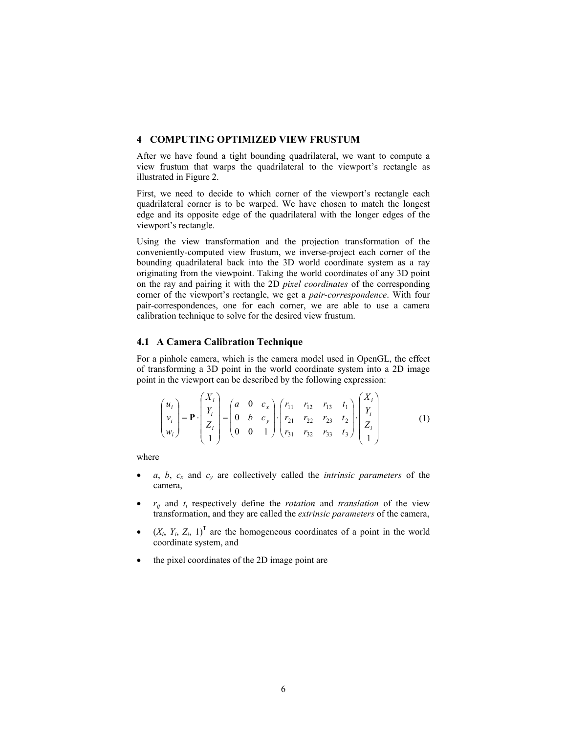## **4 COMPUTING OPTIMIZED VIEW FRUSTUM**

After we have found a tight bounding quadrilateral, we want to compute a view frustum that warps the quadrilateral to the viewport's rectangle as illustrated in Figure 2.

First, we need to decide to which corner of the viewport's rectangle each quadrilateral corner is to be warped. We have chosen to match the longest edge and its opposite edge of the quadrilateral with the longer edges of the viewport's rectangle.

Using the view transformation and the projection transformation of the conveniently-computed view frustum, we inverse-project each corner of the bounding quadrilateral back into the 3D world coordinate system as a ray originating from the viewpoint. Taking the world coordinates of any 3D point on the ray and pairing it with the 2D *pixel coordinates* of the corresponding corner of the viewport's rectangle, we get a *pair-correspondence*. With four pair-correspondences, one for each corner, we are able to use a camera calibration technique to solve for the desired view frustum.

## **4.1 A Camera Calibration Technique**

For a pinhole camera, which is the camera model used in OpenGL, the effect of transforming a 3D point in the world coordinate system into a 2D image point in the viewport can be described by the following expression:

$$
\begin{pmatrix} u_i \\ v_i \\ w_i \end{pmatrix} = \mathbf{P} \cdot \begin{pmatrix} X_i \\ Y_i \\ Z_i \\ 1 \end{pmatrix} = \begin{pmatrix} a & 0 & c_x \\ 0 & b & c_y \\ 0 & 0 & 1 \end{pmatrix} \cdot \begin{pmatrix} r_{11} & r_{12} & r_{13} & t_1 \\ r_{21} & r_{22} & r_{23} & t_2 \\ r_{31} & r_{32} & r_{33} & t_3 \end{pmatrix} \cdot \begin{pmatrix} X_i \\ Y_i \\ Z_i \\ 1 \end{pmatrix}
$$
 (1)

where

- $a, b, c_x$  and  $c_y$  are collectively called the *intrinsic parameters* of the camera,
- *rij* and *ti* respectively define the *rotation* and *translation* of the view transformation, and they are called the *extrinsic parameters* of the camera,
- $\bullet$   $(X_i, Y_i, Z_i, 1)$ <sup>T</sup> are the homogeneous coordinates of a point in the world coordinate system, and
- the pixel coordinates of the 2D image point are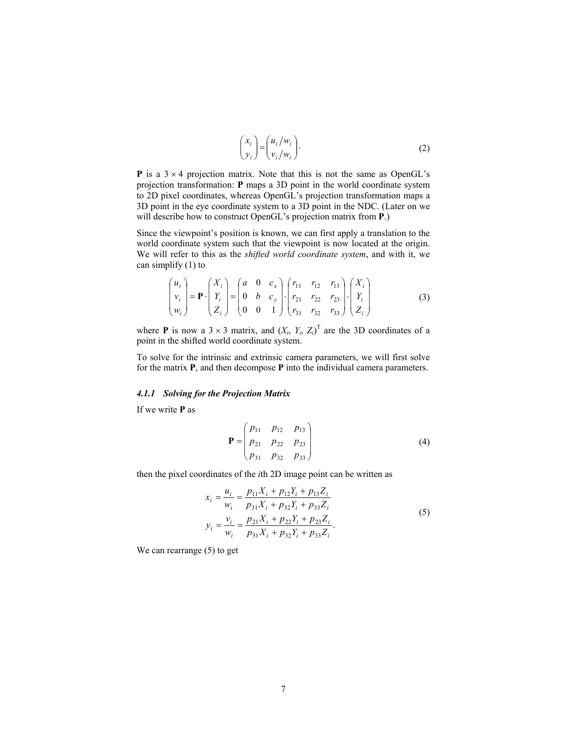$$
\begin{pmatrix} x_i \\ y_i \end{pmatrix} = \begin{pmatrix} u_i/w_i \\ v_i/w_i \end{pmatrix}.
$$
 (2)

**P** is a  $3 \times 4$  projection matrix. Note that this is not the same as OpenGL's projection transformation: **P** maps a 3D point in the world coordinate system to 2D pixel coordinates, whereas OpenGL's projection transformation maps a 3D point in the eye coordinate system to a 3D point in the NDC. (Later on we will describe how to construct OpenGL's projection matrix from **P**.)

Since the viewpoint's position is known, we can first apply a translation to the world coordinate system such that the viewpoint is now located at the origin. We will refer to this as the *shifted world coordinate system*, and with it, we can simplify (1) to

$$
\begin{pmatrix} u_i \\ v_i \\ w_i \end{pmatrix} = \mathbf{P} \cdot \begin{pmatrix} X_i \\ Y_i \\ Z_i \end{pmatrix} = \begin{pmatrix} a & 0 & c_x \\ 0 & b & c_y \\ 0 & 0 & 1 \end{pmatrix} \cdot \begin{pmatrix} r_{11} & r_{12} & r_{13} \\ r_{21} & r_{22} & r_{23} \\ r_{31} & r_{32} & r_{33} \end{pmatrix} \cdot \begin{pmatrix} X_i \\ Y_i \\ Z_i \end{pmatrix}
$$
 (3)

where **P** is now a 3  $\times$  3 matrix, and  $(X_i, Y_i, Z_i)^T$  are the 3D coordinates of a point in the shifted world coordinate system.

To solve for the intrinsic and extrinsic camera parameters, we will first solve for the matrix **P**, and then decompose **P** into the individual camera parameters.

#### *4.1.1 Solving for the Projection Matrix*

If we write **P** as

$$
\mathbf{P} = \begin{pmatrix} p_{11} & p_{12} & p_{13} \\ p_{21} & p_{22} & p_{23} \\ p_{31} & p_{32} & p_{33} \end{pmatrix}
$$
 (4)

then the pixel coordinates of the *i*th 2D image point can be written as

$$
x_i = \frac{u_i}{w_i} = \frac{p_{11}X_i + p_{12}Y_i + p_{13}Z_i}{p_{31}X_i + p_{32}Y_i + p_{33}Z_i}
$$
  
\n
$$
y_i = \frac{v_i}{w_i} = \frac{p_{21}X_i + p_{22}Y_i + p_{23}Z_i}{p_{31}X_i + p_{32}Y_i + p_{33}Z_i}.
$$
\n(5)

We can rearrange (5) to get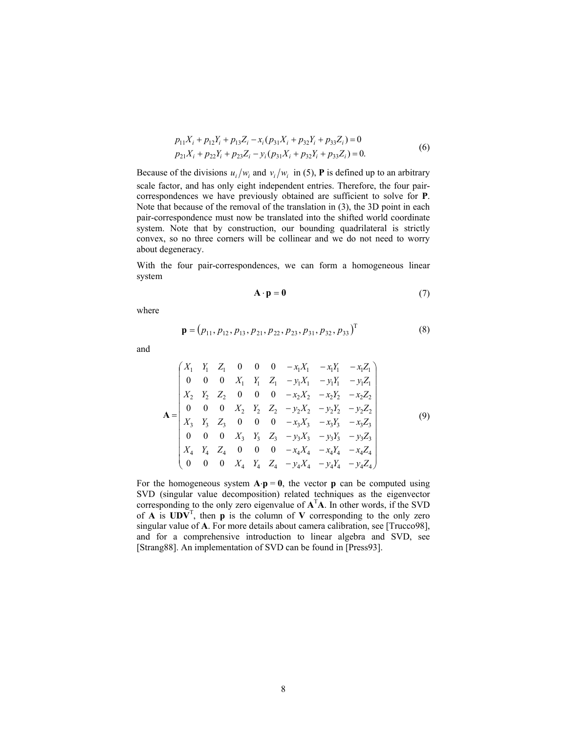$$
p_{11}X_i + p_{12}Y_i + p_{13}Z_i - x_i(p_{31}X_i + p_{32}Y_i + p_{33}Z_i) = 0
$$
  
\n
$$
p_{21}X_i + p_{22}Y_i + p_{23}Z_i - y_i(p_{31}X_i + p_{32}Y_i + p_{33}Z_i) = 0.
$$
\n(6)

Because of the divisions  $u_i/w_i$  and  $v_i/w_i$  in (5), **P** is defined up to an arbitrary scale factor, and has only eight independent entries. Therefore, the four paircorrespondences we have previously obtained are sufficient to solve for **P**. Note that because of the removal of the translation in (3), the 3D point in each pair-correspondence must now be translated into the shifted world coordinate system. Note that by construction, our bounding quadrilateral is strictly convex, so no three corners will be collinear and we do not need to worry about degeneracy.

With the four pair-correspondences, we can form a homogeneous linear system

$$
\mathbf{A} \cdot \mathbf{p} = \mathbf{0} \tag{7}
$$

where

$$
\mathbf{p} = (p_{11}, p_{12}, p_{13}, p_{21}, p_{22}, p_{23}, p_{31}, p_{32}, p_{33})^{\mathrm{T}}
$$
(8)

and

$$
\mathbf{A} = \begin{pmatrix} X_1 & Y_1 & Z_1 & 0 & 0 & 0 & -x_1X_1 & -x_1Y_1 & -x_1Z_1 \\ 0 & 0 & 0 & X_1 & Y_1 & Z_1 & -y_1X_1 & -y_1Y_1 & -y_1Z_1 \\ X_2 & Y_2 & Z_2 & 0 & 0 & 0 & -x_2X_2 & -x_2Y_2 & -x_2Z_2 \\ 0 & 0 & 0 & X_2 & Y_2 & Z_2 & -y_2X_2 & -y_2Y_2 & -y_2Z_2 \\ X_3 & Y_3 & Z_3 & 0 & 0 & 0 & -x_3X_3 & -x_3Y_3 & -x_3Z_3 \\ 0 & 0 & 0 & X_3 & Y_3 & Z_3 & -y_3X_3 & -y_3Y_3 & -y_3Z_3 \\ X_4 & Y_4 & Z_4 & 0 & 0 & 0 & -x_4X_4 & -x_4Y_4 & -x_4Z_4 \\ 0 & 0 & 0 & X_4 & Y_4 & Z_4 & -y_4X_4 & -y_4Y_4 & -y_4Z_4 \end{pmatrix}
$$
(9)

For the homogeneous system  $\mathbf{A} \cdot \mathbf{p} = \mathbf{0}$ , the vector **p** can be computed using SVD (singular value decomposition) related techniques as the eigenvector corresponding to the only zero eigenvalue of  $A<sup>T</sup>A$ . In other words, if the SVD of **A** is  $\text{UDV}^T$ , then **p** is the column of **V** corresponding to the only zero singular value of **A**. For more details about camera calibration, see [Trucco98], and for a comprehensive introduction to linear algebra and SVD, see [Strang88]. An implementation of SVD can be found in [Press93].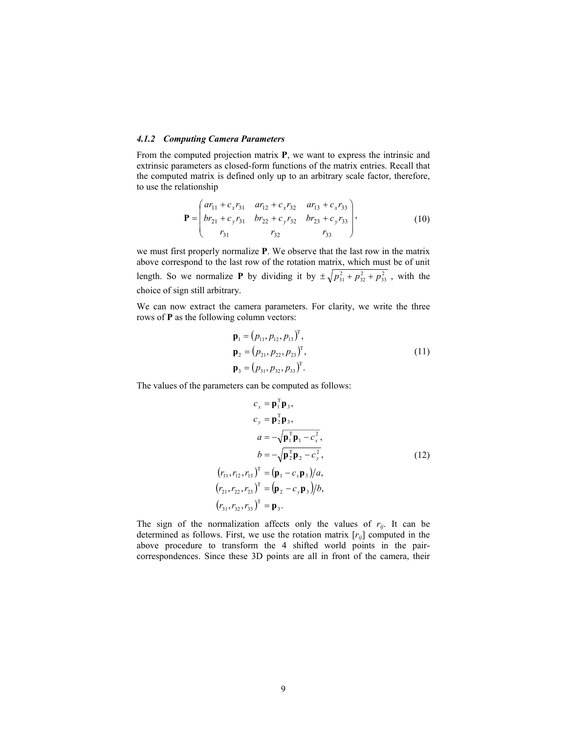#### *4.1.2 Computing Camera Parameters*

From the computed projection matrix **P**, we want to express the intrinsic and extrinsic parameters as closed-form functions of the matrix entries. Recall that the computed matrix is defined only up to an arbitrary scale factor, therefore, to use the relationship

$$
\mathbf{P} = \begin{pmatrix} ar_{11} + c_x r_{31} & ar_{12} + c_x r_{32} & ar_{13} + c_x r_{33} \\ br_{21} + c_y r_{31} & br_{22} + c_y r_{32} & br_{23} + c_y r_{33} \\ r_{31} & r_{32} & r_{33} \end{pmatrix},
$$
(10)

we must first properly normalize **P**. We observe that the last row in the matrix above correspond to the last row of the rotation matrix, which must be of unit length. So we normalize **P** by dividing it by  $\pm \sqrt{p_{31}^2 + p_{32}^2 + p_{33}^2}$ , with the choice of sign still arbitrary.

We can now extract the camera parameters. For clarity, we write the three rows of **P** as the following column vectors:

$$
\mathbf{p}_1 = (p_{11}, p_{12}, p_{13})^T, \n\mathbf{p}_2 = (p_{21}, p_{22}, p_{23})^T, \n\mathbf{p}_3 = (p_{31}, p_{32}, p_{33})^T.
$$
\n(11)

The values of the parameters can be computed as follows:

$$
c_x = \mathbf{p}_1^T \mathbf{p}_3,
$$
  
\n
$$
c_y = \mathbf{p}_2^T \mathbf{p}_3,
$$
  
\n
$$
a = -\sqrt{\mathbf{p}_1^T \mathbf{p}_1 - c_x^2},
$$
  
\n
$$
b = -\sqrt{\mathbf{p}_2^T \mathbf{p}_2 - c_y^2},
$$
  
\n
$$
(r_{11}, r_{12}, r_{13})^T = (\mathbf{p}_1 - c_x \mathbf{p}_3)/a,
$$
  
\n
$$
(r_{21}, r_{22}, r_{23})^T = (\mathbf{p}_2 - c_y \mathbf{p}_3)/b,
$$
  
\n
$$
(r_{31}, r_{32}, r_{33})^T = \mathbf{p}_3.
$$
  
\n(12)

The sign of the normalization affects only the values of  $r_{ij}$ . It can be determined as follows. First, we use the rotation matrix  $[r_{ij}]$  computed in the above procedure to transform the 4 shifted world points in the paircorrespondences. Since these 3D points are all in front of the camera, their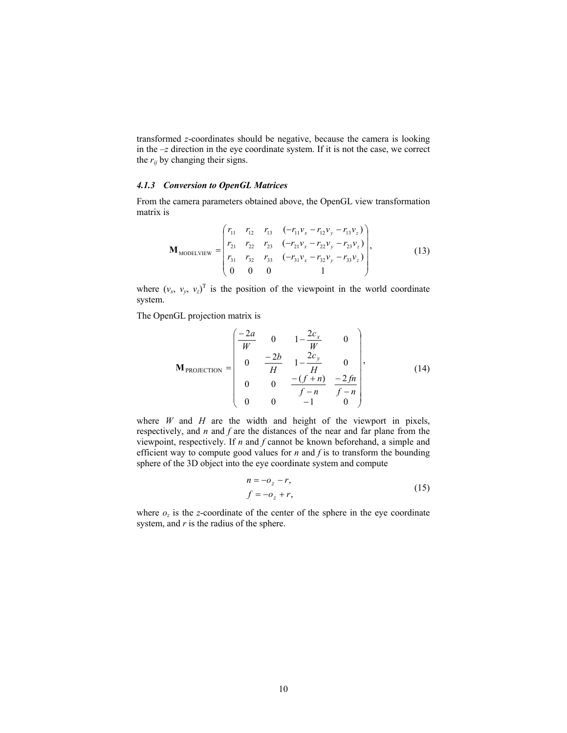transformed *z*-coordinates should be negative, because the camera is looking in the –*z* direction in the eye coordinate system. If it is not the case, we correct the  $r_{ij}$  by changing their signs.

## *4.1.3 Conversion to OpenGL Matrices*

From the camera parameters obtained above, the OpenGL view transformation matrix is

$$
\mathbf{M}_{\text{MODELVIEW}} = \begin{pmatrix} r_{11} & r_{12} & r_{13} & (-r_{11}v_x - r_{12}v_y - r_{13}v_z) \\ r_{21} & r_{22} & r_{23} & (-r_{21}v_x - r_{22}v_y - r_{23}v_z) \\ r_{31} & r_{32} & r_{33} & (-r_{31}v_x - r_{32}v_y - r_{33}v_z) \\ 0 & 0 & 0 & 1 \end{pmatrix},
$$
(13)

where  $(v_x, v_y, v_z)^T$  is the position of the viewpoint in the world coordinate system.

The OpenGL projection matrix is

$$
\mathbf{M}_{\text{PROIECTION}} = \begin{pmatrix} -2a & 0 & 1 - \frac{2c_x}{W} & 0 \\ \hline 0 & -2b & 1 - \frac{2c_y}{H} & 0 \\ 0 & \frac{-2b}{H} & \frac{-2c_y}{H} & 0 \\ 0 & 0 & \frac{-2b}{H} & \frac{-2b_n}{H} \\ 0 & 0 & -1 & 0 \end{pmatrix},
$$
(14)

where  $W$  and  $H$  are the width and height of the viewport in pixels, respectively, and *n* and *f* are the distances of the near and far plane from the viewpoint, respectively. If *n* and *f* cannot be known beforehand, a simple and efficient way to compute good values for *n* and *f* is to transform the bounding sphere of the 3D object into the eye coordinate system and compute

$$
n = -o_z - r,
$$
  
\n
$$
f = -o_z + r,
$$
\n(15)

where  $o_z$  is the *z*-coordinate of the center of the sphere in the eye coordinate system, and *r* is the radius of the sphere.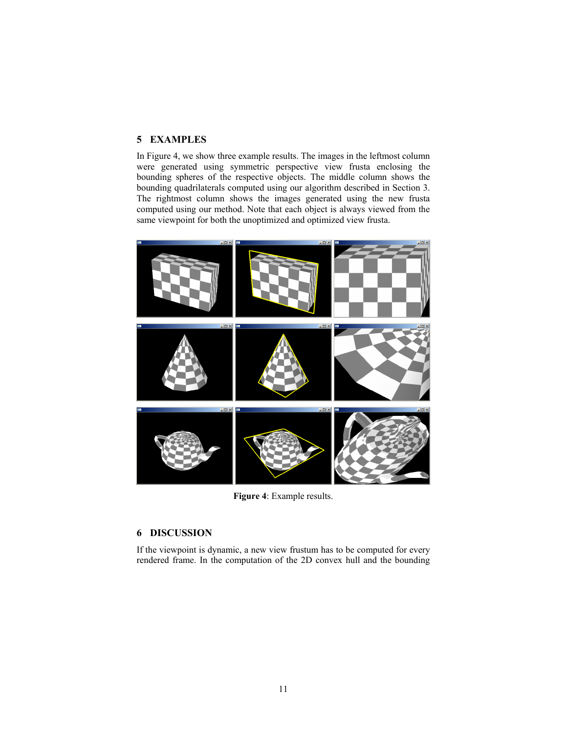# **5 EXAMPLES**

In Figure 4, we show three example results. The images in the leftmost column were generated using symmetric perspective view frusta enclosing the bounding spheres of the respective objects. The middle column shows the bounding quadrilaterals computed using our algorithm described in Section 3. The rightmost column shows the images generated using the new frusta computed using our method. Note that each object is always viewed from the same viewpoint for both the unoptimized and optimized view frusta.



**Figure 4**: Example results.

# **6 DISCUSSION**

If the viewpoint is dynamic, a new view frustum has to be computed for every rendered frame. In the computation of the 2D convex hull and the bounding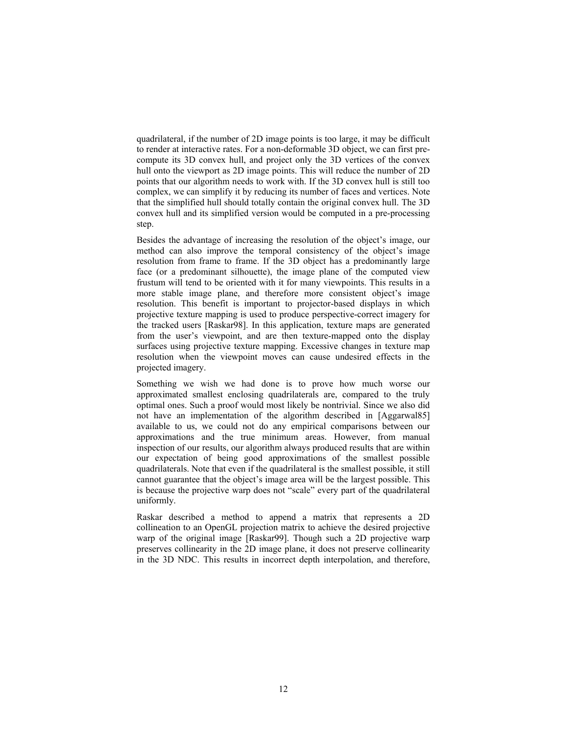quadrilateral, if the number of 2D image points is too large, it may be difficult to render at interactive rates. For a non-deformable 3D object, we can first precompute its 3D convex hull, and project only the 3D vertices of the convex hull onto the viewport as 2D image points. This will reduce the number of 2D points that our algorithm needs to work with. If the 3D convex hull is still too complex, we can simplify it by reducing its number of faces and vertices. Note that the simplified hull should totally contain the original convex hull. The 3D convex hull and its simplified version would be computed in a pre-processing step.

Besides the advantage of increasing the resolution of the object's image, our method can also improve the temporal consistency of the object's image resolution from frame to frame. If the 3D object has a predominantly large face (or a predominant silhouette), the image plane of the computed view frustum will tend to be oriented with it for many viewpoints. This results in a more stable image plane, and therefore more consistent object's image resolution. This benefit is important to projector-based displays in which projective texture mapping is used to produce perspective-correct imagery for the tracked users [Raskar98]. In this application, texture maps are generated from the user's viewpoint, and are then texture-mapped onto the display surfaces using projective texture mapping. Excessive changes in texture map resolution when the viewpoint moves can cause undesired effects in the projected imagery.

Something we wish we had done is to prove how much worse our approximated smallest enclosing quadrilaterals are, compared to the truly optimal ones. Such a proof would most likely be nontrivial. Since we also did not have an implementation of the algorithm described in [Aggarwal85] available to us, we could not do any empirical comparisons between our approximations and the true minimum areas. However, from manual inspection of our results, our algorithm always produced results that are within our expectation of being good approximations of the smallest possible quadrilaterals. Note that even if the quadrilateral is the smallest possible, it still cannot guarantee that the object's image area will be the largest possible. This is because the projective warp does not "scale" every part of the quadrilateral uniformly.

Raskar described a method to append a matrix that represents a 2D collineation to an OpenGL projection matrix to achieve the desired projective warp of the original image [Raskar99]. Though such a 2D projective warp preserves collinearity in the 2D image plane, it does not preserve collinearity in the 3D NDC. This results in incorrect depth interpolation, and therefore,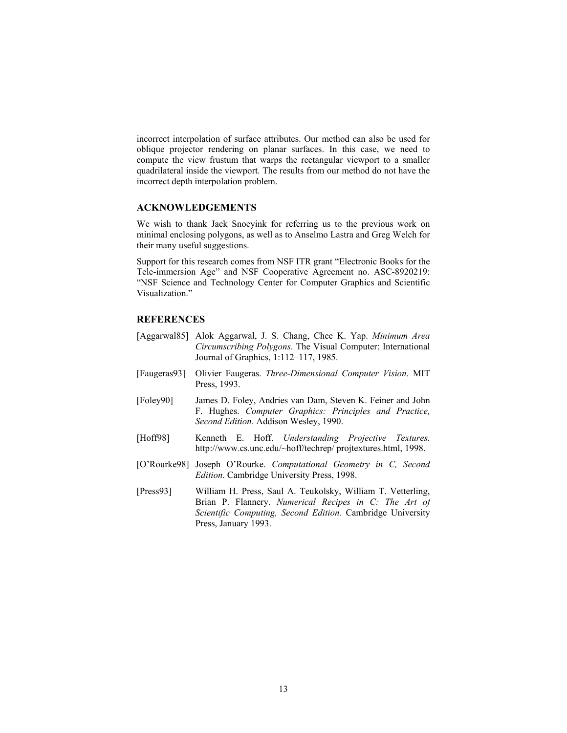incorrect interpolation of surface attributes. Our method can also be used for oblique projector rendering on planar surfaces. In this case, we need to compute the view frustum that warps the rectangular viewport to a smaller quadrilateral inside the viewport. The results from our method do not have the incorrect depth interpolation problem.

### **ACKNOWLEDGEMENTS**

We wish to thank Jack Snoeyink for referring us to the previous work on minimal enclosing polygons, as well as to Anselmo Lastra and Greg Welch for their many useful suggestions.

Support for this research comes from NSF ITR grant "Electronic Books for the Tele-immersion Age" and NSF Cooperative Agreement no. ASC-8920219: "NSF Science and Technology Center for Computer Graphics and Scientific Visualization."

## **REFERENCES**

- [Aggarwal85] Alok Aggarwal, J. S. Chang, Chee K. Yap. *Minimum Area Circumscribing Polygons*. The Visual Computer: International Journal of Graphics, 1:112–117, 1985.
- [Faugeras93] Olivier Faugeras. *Three-Dimensional Computer Vision*. MIT Press, 1993.
- [Foley90] James D. Foley, Andries van Dam, Steven K. Feiner and John F. Hughes. *Computer Graphics: Principles and Practice, Second Edition*. Addison Wesley, 1990.
- [Hoff98] Kenneth E. Hoff. *Understanding Projective Textures*. http://www.cs.unc.edu/~hoff/techrep/ projtextures.html, 1998.
- [O'Rourke98] Joseph O'Rourke. *Computational Geometry in C, Second Edition*. Cambridge University Press, 1998.
- [Press93] William H. Press, Saul A. Teukolsky, William T. Vetterling, Brian P. Flannery. *Numerical Recipes in C: The Art of Scientific Computing, Second Edition.* Cambridge University Press, January 1993.